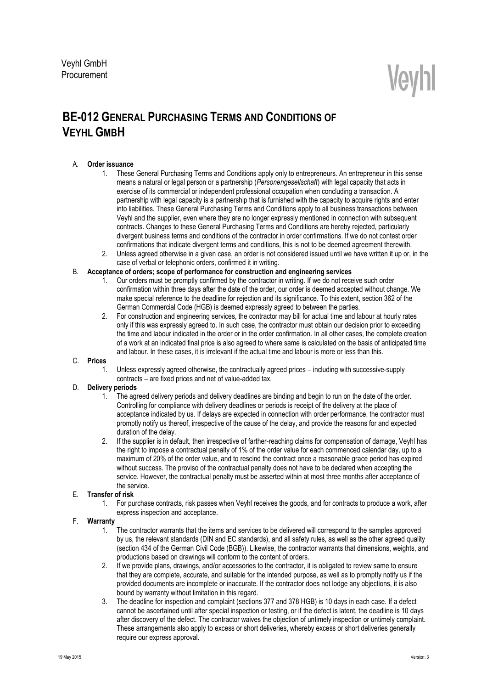# Veyhl

# **BE-012 GENERAL PURCHASING TERMS AND CONDITIONS OF VEYHL GMBH**

# A. **Order issuance**

- 1. These General Purchasing Terms and Conditions apply only to entrepreneurs. An entrepreneur in this sense means a natural or legal person or a partnership (*Personengesellschaft*) with legal capacity that acts in exercise of its commercial or independent professional occupation when concluding a transaction. A partnership with legal capacity is a partnership that is furnished with the capacity to acquire rights and enter into liabilities. These General Purchasing Terms and Conditions apply to all business transactions between Veyhl and the supplier, even where they are no longer expressly mentioned in connection with subsequent contracts. Changes to these General Purchasing Terms and Conditions are hereby rejected, particularly divergent business terms and conditions of the contractor in order confirmations. If we do not contest order confirmations that indicate divergent terms and conditions, this is not to be deemed agreement therewith.
- 2. Unless agreed otherwise in a given case, an order is not considered issued until we have written it up or, in the case of verbal or telephonic orders, confirmed it in writing.

## B. **Acceptance of orders; scope of performance for construction and engineering services**

- 1. Our orders must be promptly confirmed by the contractor in writing. If we do not receive such order confirmation within three days after the date of the order, our order is deemed accepted without change. We make special reference to the deadline for rejection and its significance. To this extent, section 362 of the German Commercial Code (HGB) is deemed expressly agreed to between the parties.
- 2. For construction and engineering services, the contractor may bill for actual time and labour at hourly rates only if this was expressly agreed to. In such case, the contractor must obtain our decision prior to exceeding the time and labour indicated in the order or in the order confirmation. In all other cases, the complete creation of a work at an indicated final price is also agreed to where same is calculated on the basis of anticipated time and labour. In these cases, it is irrelevant if the actual time and labour is more or less than this.

#### C. **Prices**

Unless expressly agreed otherwise, the contractually agreed prices – including with successive-supply contracts – are fixed prices and net of value-added tax.

# D. **Delivery periods**

- 1. The agreed delivery periods and delivery deadlines are binding and begin to run on the date of the order. Controlling for compliance with delivery deadlines or periods is receipt of the delivery at the place of acceptance indicated by us. If delays are expected in connection with order performance, the contractor must promptly notify us thereof, irrespective of the cause of the delay, and provide the reasons for and expected duration of the delay.
- 2. If the supplier is in default, then irrespective of farther-reaching claims for compensation of damage, Veyhl has the right to impose a contractual penalty of 1% of the order value for each commenced calendar day, up to a maximum of 20% of the order value, and to rescind the contract once a reasonable grace period has expired without success. The proviso of the contractual penalty does not have to be declared when accepting the service. However, the contractual penalty must be asserted within at most three months after acceptance of the service.

# E. **Transfer of risk**

1. For purchase contracts, risk passes when Veyhl receives the goods, and for contracts to produce a work, after express inspection and acceptance.

# F. **Warranty**

- 1. The contractor warrants that the items and services to be delivered will correspond to the samples approved by us, the relevant standards (DIN and EC standards), and all safety rules, as well as the other agreed quality (section 434 of the German Civil Code (BGB)). Likewise, the contractor warrants that dimensions, weights, and productions based on drawings will conform to the content of orders.
- 2. If we provide plans, drawings, and/or accessories to the contractor, it is obligated to review same to ensure that they are complete, accurate, and suitable for the intended purpose, as well as to promptly notify us if the provided documents are incomplete or inaccurate. If the contractor does not lodge any objections, it is also bound by warranty without limitation in this regard.
- 3. The deadline for inspection and complaint (sections 377 and 378 HGB) is 10 days in each case. If a defect cannot be ascertained until after special inspection or testing, or if the defect is latent, the deadline is 10 days after discovery of the defect. The contractor waives the objection of untimely inspection or untimely complaint. These arrangements also apply to excess or short deliveries, whereby excess or short deliveries generally require our express approval.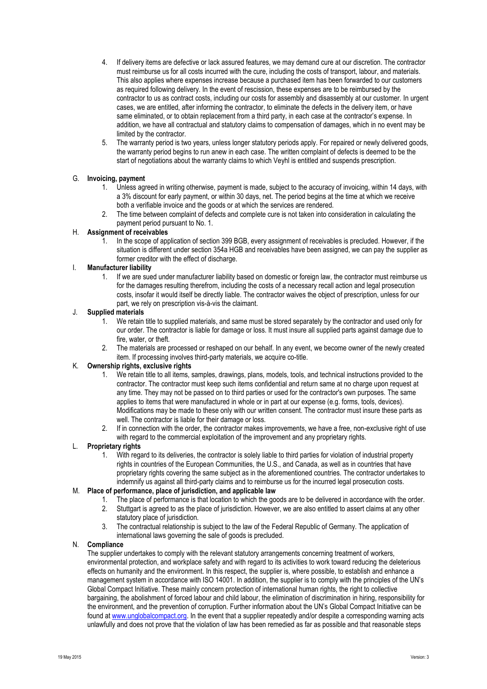- 4. If delivery items are defective or lack assured features, we may demand cure at our discretion. The contractor must reimburse us for all costs incurred with the cure, including the costs of transport, labour, and materials. This also applies where expenses increase because a purchased item has been forwarded to our customers as required following delivery. In the event of rescission, these expenses are to be reimbursed by the contractor to us as contract costs, including our costs for assembly and disassembly at our customer. In urgent cases, we are entitled, after informing the contractor, to eliminate the defects in the delivery item, or have same eliminated, or to obtain replacement from a third party, in each case at the contractor's expense. In addition, we have all contractual and statutory claims to compensation of damages, which in no event may be limited by the contractor.
- 5. The warranty period is two years, unless longer statutory periods apply. For repaired or newly delivered goods, the warranty period begins to run anew in each case. The written complaint of defects is deemed to be the start of negotiations about the warranty claims to which Veyhl is entitled and suspends prescription.

#### G. **Invoicing, payment**

- 1. Unless agreed in writing otherwise, payment is made, subject to the accuracy of invoicing, within 14 days, with a 3% discount for early payment, or within 30 days, net. The period begins at the time at which we receive both a verifiable invoice and the goods or at which the services are rendered.
- 2. The time between complaint of defects and complete cure is not taken into consideration in calculating the payment period pursuant to No. 1.

#### H. **Assignment of receivables**

1. In the scope of application of section 399 BGB, every assignment of receivables is precluded. However, if the situation is different under section 354a HGB and receivables have been assigned, we can pay the supplier as former creditor with the effect of discharge.

#### I. **Manufacturer liability**

1. If we are sued under manufacturer liability based on domestic or foreign law, the contractor must reimburse us for the damages resulting therefrom, including the costs of a necessary recall action and legal prosecution costs, insofar it would itself be directly liable. The contractor waives the object of prescription, unless for our part, we rely on prescription vis-à-vis the claimant.

#### J. **Supplied materials**

- 1. We retain title to supplied materials, and same must be stored separately by the contractor and used only for our order. The contractor is liable for damage or loss. It must insure all supplied parts against damage due to fire, water, or theft.
- 2. The materials are processed or reshaped on our behalf. In any event, we become owner of the newly created item. If processing involves third-party materials, we acquire co-title.

## K. **Ownership rights, exclusive rights**

- 1. We retain title to all items, samples, drawings, plans, models, tools, and technical instructions provided to the contractor. The contractor must keep such items confidential and return same at no charge upon request at any time. They may not be passed on to third parties or used for the contractor's own purposes. The same applies to items that were manufactured in whole or in part at our expense (e.g. forms, tools, devices). Modifications may be made to these only with our written consent. The contractor must insure these parts as well. The contractor is liable for their damage or loss.
- 2. If in connection with the order, the contractor makes improvements, we have a free, non-exclusive right of use with regard to the commercial exploitation of the improvement and any proprietary rights.

#### L. **Proprietary rights**

1. With regard to its deliveries, the contractor is solely liable to third parties for violation of industrial property rights in countries of the European Communities, the U.S., and Canada, as well as in countries that have proprietary rights covering the same subject as in the aforementioned countries. The contractor undertakes to indemnify us against all third-party claims and to reimburse us for the incurred legal prosecution costs.

#### M. **Place of performance, place of jurisdiction, and applicable law**

- 1. The place of performance is that location to which the goods are to be delivered in accordance with the order.
- 2. Stuttgart is agreed to as the place of jurisdiction. However, we are also entitled to assert claims at any other statutory place of jurisdiction.
- 3. The contractual relationship is subject to the law of the Federal Republic of Germany. The application of international laws governing the sale of goods is precluded.

#### N. **Compliance**

The supplier undertakes to comply with the relevant statutory arrangements concerning treatment of workers, environmental protection, and workplace safety and with regard to its activities to work toward reducing the deleterious effects on humanity and the environment. In this respect, the supplier is, where possible, to establish and enhance a management system in accordance with ISO 14001. In addition, the supplier is to comply with the principles of the UN's Global Compact Initiative. These mainly concern protection of international human rights, the right to collective bargaining, the abolishment of forced labour and child labour, the elimination of discrimination in hiring, responsibility for the environment, and the prevention of corruption. Further information about the UN's Global Compact Initiative can be found at [www.unglobalcompact.org.](http://www.unglobalcompact.org/) In the event that a supplier repeatedly and/or despite a corresponding warning acts unlawfully and does not prove that the violation of law has been remedied as far as possible and that reasonable steps